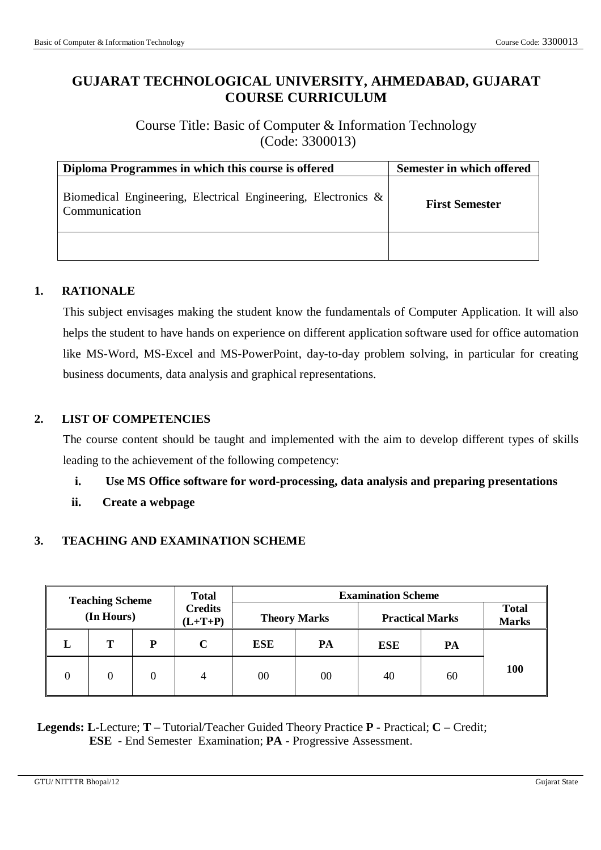# **GUJARAT TECHNOLOGICAL UNIVERSITY, AHMEDABAD, GUJARAT COURSE CURRICULUM**

Course Title: Basic of Computer & Information Technology (Code: 3300013)

| Diploma Programmes in which this course is offered                                | <b>Semester in which offered</b> |
|-----------------------------------------------------------------------------------|----------------------------------|
| Biomedical Engineering, Electrical Engineering, Electronics $\&$<br>Communication | <b>First Semester</b>            |
|                                                                                   |                                  |

## **1. RATIONALE**

This subject envisages making the student know the fundamentals of Computer Application. It will also helps the student to have hands on experience on different application software used for office automation like MS-Word, MS-Excel and MS-PowerPoint, day-to-day problem solving, in particular for creating business documents, data analysis and graphical representations.

#### **2. LIST OF COMPETENCIES**

The course content should be taught and implemented with the aim to develop different types of skills leading to the achievement of the following competency:

#### **i. Use MS Office software for word-processing, data analysis and preparing presentations**

**ii. Create a webpage** 

#### **3. TEACHING AND EXAMINATION SCHEME**

| <b>Teaching Scheme</b> |            | <b>Total</b> |                             |            | <b>Examination Scheme</b> |            |                        |                              |
|------------------------|------------|--------------|-----------------------------|------------|---------------------------|------------|------------------------|------------------------------|
|                        | (In Hours) |              | <b>Credits</b><br>$(L+T+P)$ |            | <b>Theory Marks</b>       |            | <b>Practical Marks</b> | <b>Total</b><br><b>Marks</b> |
|                        | т          | P            |                             | <b>ESE</b> | PA                        | <b>ESE</b> | PA                     |                              |
|                        |            | 0            | 4                           | 00         | 00                        | 40         | 60                     | <b>100</b>                   |

**Legends: L**-Lecture; **T** – Tutorial/Teacher Guided Theory Practice **P** - Practical; **C** – Credit; **ESE** - End Semester Examination; **PA** - Progressive Assessment.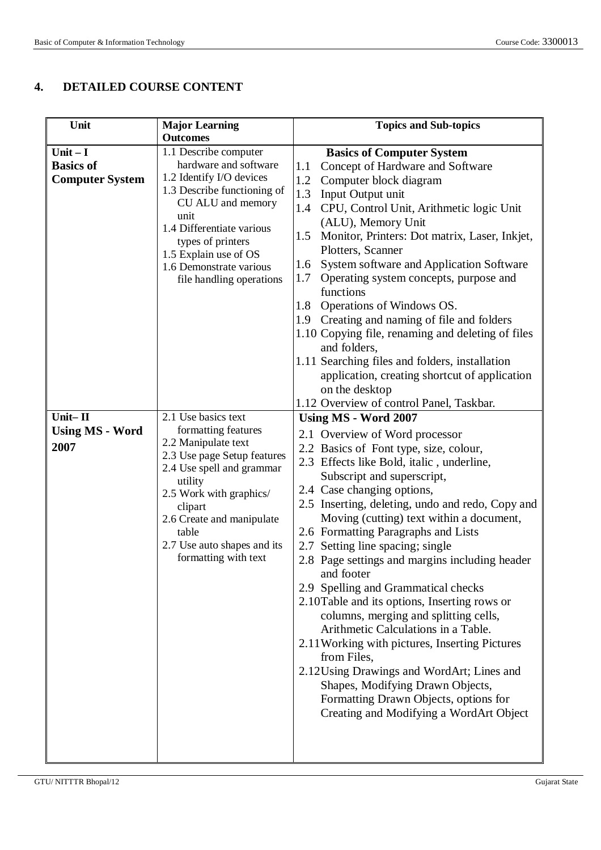## **4. DETAILED COURSE CONTENT**

| Unit                                                     | <b>Major Learning</b>                                                                                                                                                                                                                                                                       | <b>Topics and Sub-topics</b>                                                                                                                                                                                                                                                                                                                                                                                                                                                                                                                                                                                                                                                                                                                                                                                                                                                                                                                                                                                                              |
|----------------------------------------------------------|---------------------------------------------------------------------------------------------------------------------------------------------------------------------------------------------------------------------------------------------------------------------------------------------|-------------------------------------------------------------------------------------------------------------------------------------------------------------------------------------------------------------------------------------------------------------------------------------------------------------------------------------------------------------------------------------------------------------------------------------------------------------------------------------------------------------------------------------------------------------------------------------------------------------------------------------------------------------------------------------------------------------------------------------------------------------------------------------------------------------------------------------------------------------------------------------------------------------------------------------------------------------------------------------------------------------------------------------------|
| $Unit - I$<br><b>Basics of</b><br><b>Computer System</b> | <b>Outcomes</b><br>1.1 Describe computer<br>hardware and software<br>1.2 Identify I/O devices<br>1.3 Describe functioning of<br>CU ALU and memory<br>unit<br>1.4 Differentiate various<br>types of printers<br>1.5 Explain use of OS<br>1.6 Demonstrate various<br>file handling operations | <b>Basics of Computer System</b><br>Concept of Hardware and Software<br>1.1<br>1.2<br>Computer block diagram<br>1.3<br>Input Output unit<br>CPU, Control Unit, Arithmetic logic Unit<br>1.4<br>(ALU), Memory Unit<br>Monitor, Printers: Dot matrix, Laser, Inkjet,<br>1.5<br>Plotters, Scanner<br>System software and Application Software<br>1.6<br>Operating system concepts, purpose and<br>1.7<br>functions<br>Operations of Windows OS.<br>1.8<br>1.9 Creating and naming of file and folders<br>1.10 Copying file, renaming and deleting of files<br>and folders,                                                                                                                                                                                                                                                                                                                                                                                                                                                                   |
| Unit-II<br><b>Using MS - Word</b><br>2007                | 2.1 Use basics text<br>formatting features<br>2.2 Manipulate text<br>2.3 Use page Setup features<br>2.4 Use spell and grammar<br>utility<br>2.5 Work with graphics/<br>clipart<br>2.6 Create and manipulate<br>table<br>2.7 Use auto shapes and its<br>formatting with text                 | 1.11 Searching files and folders, installation<br>application, creating shortcut of application<br>on the desktop<br>1.12 Overview of control Panel, Taskbar.<br><b>Using MS - Word 2007</b><br>2.1 Overview of Word processor<br>2.2 Basics of Font type, size, colour,<br>2.3 Effects like Bold, italic, underline,<br>Subscript and superscript,<br>2.4 Case changing options,<br>2.5 Inserting, deleting, undo and redo, Copy and<br>Moving (cutting) text within a document,<br>2.6 Formatting Paragraphs and Lists<br>2.7 Setting line spacing; single<br>2.8 Page settings and margins including header<br>and footer<br>2.9 Spelling and Grammatical checks<br>2.10Table and its options, Inserting rows or<br>columns, merging and splitting cells,<br>Arithmetic Calculations in a Table.<br>2.11 Working with pictures, Inserting Pictures<br>from Files,<br>2.12Using Drawings and WordArt; Lines and<br>Shapes, Modifying Drawn Objects,<br>Formatting Drawn Objects, options for<br>Creating and Modifying a WordArt Object |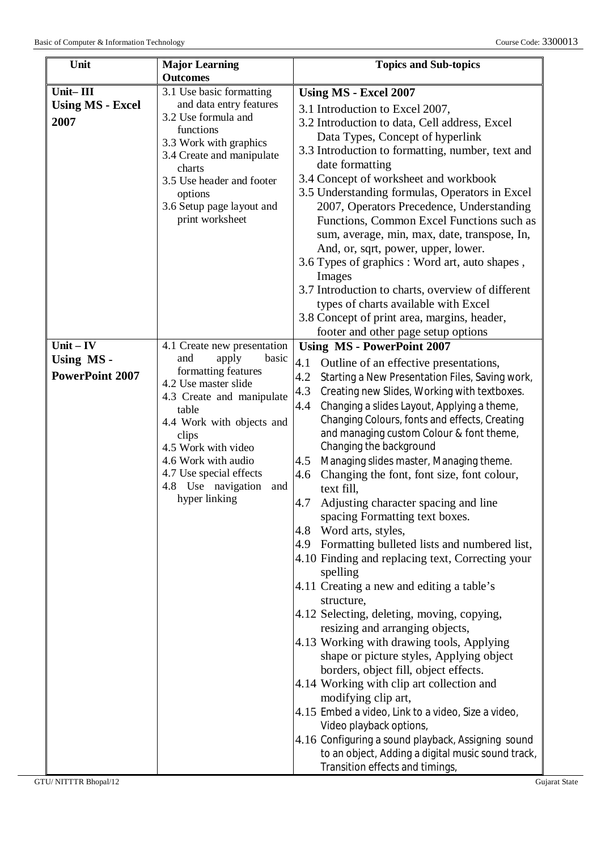| Unit                                | <b>Major Learning</b><br><b>Outcomes</b>                                                                                                                                                                                                                                | <b>Topics and Sub-topics</b>                                                                                                                                                                                                                                                                                                                                                                                                                                                                                                                                                                                                                                                                                                                                                                                                                                                                                                                                                                                                                                                                                                                                                                                                             |
|-------------------------------------|-------------------------------------------------------------------------------------------------------------------------------------------------------------------------------------------------------------------------------------------------------------------------|------------------------------------------------------------------------------------------------------------------------------------------------------------------------------------------------------------------------------------------------------------------------------------------------------------------------------------------------------------------------------------------------------------------------------------------------------------------------------------------------------------------------------------------------------------------------------------------------------------------------------------------------------------------------------------------------------------------------------------------------------------------------------------------------------------------------------------------------------------------------------------------------------------------------------------------------------------------------------------------------------------------------------------------------------------------------------------------------------------------------------------------------------------------------------------------------------------------------------------------|
| Unit-III                            | 3.1 Use basic formatting                                                                                                                                                                                                                                                | <b>Using MS - Excel 2007</b>                                                                                                                                                                                                                                                                                                                                                                                                                                                                                                                                                                                                                                                                                                                                                                                                                                                                                                                                                                                                                                                                                                                                                                                                             |
| <b>Using MS - Excel</b><br>2007     | and data entry features<br>3.2 Use formula and<br>functions<br>3.3 Work with graphics<br>3.4 Create and manipulate<br>charts<br>3.5 Use header and footer<br>options<br>3.6 Setup page layout and<br>print worksheet                                                    | 3.1 Introduction to Excel 2007,<br>3.2 Introduction to data, Cell address, Excel<br>Data Types, Concept of hyperlink<br>3.3 Introduction to formatting, number, text and<br>date formatting<br>3.4 Concept of worksheet and workbook<br>3.5 Understanding formulas, Operators in Excel<br>2007, Operators Precedence, Understanding<br>Functions, Common Excel Functions such as<br>sum, average, min, max, date, transpose, In,<br>And, or, sqrt, power, upper, lower.<br>3.6 Types of graphics : Word art, auto shapes,<br>Images<br>3.7 Introduction to charts, overview of different                                                                                                                                                                                                                                                                                                                                                                                                                                                                                                                                                                                                                                                 |
|                                     |                                                                                                                                                                                                                                                                         | types of charts available with Excel<br>3.8 Concept of print area, margins, header,                                                                                                                                                                                                                                                                                                                                                                                                                                                                                                                                                                                                                                                                                                                                                                                                                                                                                                                                                                                                                                                                                                                                                      |
|                                     |                                                                                                                                                                                                                                                                         | footer and other page setup options                                                                                                                                                                                                                                                                                                                                                                                                                                                                                                                                                                                                                                                                                                                                                                                                                                                                                                                                                                                                                                                                                                                                                                                                      |
| $Unit - IV$                         | 4.1 Create new presentation                                                                                                                                                                                                                                             | <b>Using MS - PowerPoint 2007</b>                                                                                                                                                                                                                                                                                                                                                                                                                                                                                                                                                                                                                                                                                                                                                                                                                                                                                                                                                                                                                                                                                                                                                                                                        |
| Using MS-<br><b>PowerPoint 2007</b> | and<br>apply<br>basic<br>formatting features<br>4.2 Use master slide<br>4.3 Create and manipulate<br>table<br>4.4 Work with objects and<br>clips<br>4.5 Work with video<br>4.6 Work with audio<br>4.7 Use special effects<br>4.8 Use navigation<br>and<br>hyper linking | 4.1<br>Outline of an effective presentations,<br>Starting a New Presentation Files, Saving work,<br>4.2<br>4.3<br>Creating new Slides, Working with textboxes.<br>Changing a slides Layout, Applying a theme,<br>4.4<br>Changing Colours, fonts and effects, Creating<br>and managing custom Colour & font theme,<br>Changing the background<br>4.5 Managing slides master, Managing theme.<br>Changing the font, font size, font colour,<br>4.6<br>text fill,<br>4.7 Adjusting character spacing and line<br>spacing Formatting text boxes.<br>4.8 Word arts, styles,<br>4.9 Formatting bulleted lists and numbered list,<br>4.10 Finding and replacing text, Correcting your<br>spelling<br>4.11 Creating a new and editing a table's<br>structure,<br>4.12 Selecting, deleting, moving, copying,<br>resizing and arranging objects,<br>4.13 Working with drawing tools, Applying<br>shape or picture styles, Applying object<br>borders, object fill, object effects.<br>4.14 Working with clip art collection and<br>modifying clip art,<br>4.15 Embed a video, Link to a video, Size a video,<br>Video playback options,<br>4.16 Configuring a sound playback, Assigning sound<br>to an object, Adding a digital music sound track, |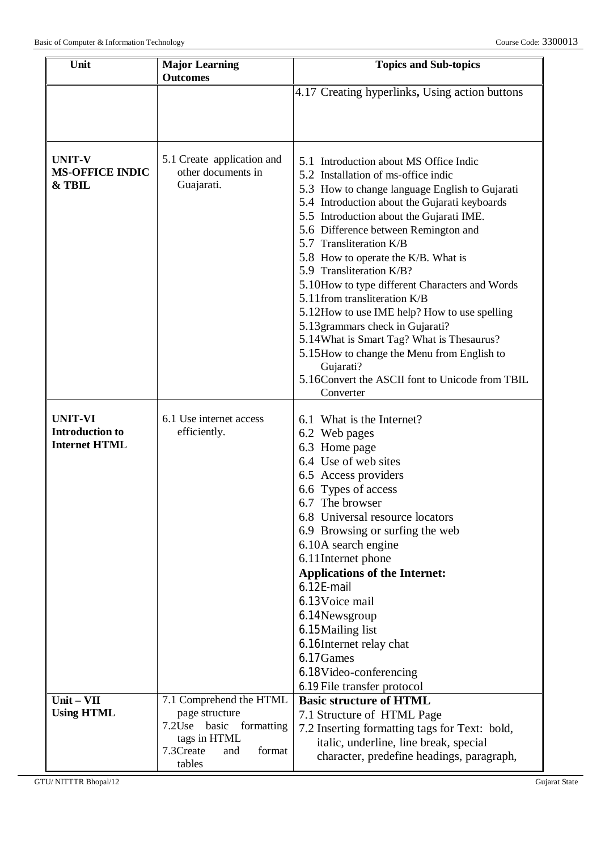| Unit                                    | <b>Major Learning</b><br><b>Outcomes</b>         | <b>Topics and Sub-topics</b>                                                  |  |
|-----------------------------------------|--------------------------------------------------|-------------------------------------------------------------------------------|--|
|                                         |                                                  | 4.17 Creating hyperlinks, Using action buttons                                |  |
|                                         |                                                  |                                                                               |  |
|                                         |                                                  |                                                                               |  |
|                                         |                                                  |                                                                               |  |
| <b>UNIT-V</b><br><b>MS-OFFICE INDIC</b> | 5.1 Create application and<br>other documents in | 5.1 Introduction about MS Office Indic<br>5.2 Installation of ms-office indic |  |
| & TBIL                                  | Guajarati.                                       | 5.3 How to change language English to Gujarati                                |  |
|                                         |                                                  | 5.4 Introduction about the Gujarati keyboards                                 |  |
|                                         |                                                  | 5.5 Introduction about the Gujarati IME.                                      |  |
|                                         |                                                  | 5.6 Difference between Remington and                                          |  |
|                                         |                                                  | 5.7 Transliteration K/B                                                       |  |
|                                         |                                                  | 5.8 How to operate the K/B. What is<br>5.9 Transliteration K/B?               |  |
|                                         |                                                  | 5.10 How to type different Characters and Words                               |  |
|                                         |                                                  | 5.11 from transliteration K/B                                                 |  |
|                                         |                                                  | 5.12 How to use IME help? How to use spelling                                 |  |
|                                         |                                                  | 5.13 grammars check in Gujarati?                                              |  |
|                                         |                                                  | 5.14 What is Smart Tag? What is Thesaurus?                                    |  |
|                                         |                                                  | 5.15 How to change the Menu from English to                                   |  |
|                                         |                                                  | Gujarati?<br>5.16Convert the ASCII font to Unicode from TBIL                  |  |
|                                         |                                                  | Converter                                                                     |  |
|                                         |                                                  |                                                                               |  |
| <b>UNIT-VI</b>                          | 6.1 Use internet access                          | 6.1 What is the Internet?                                                     |  |
| <b>Introduction to</b>                  | efficiently.                                     | 6.2 Web pages                                                                 |  |
| <b>Internet HTML</b>                    |                                                  | 6.3 Home page                                                                 |  |
|                                         |                                                  | 6.4 Use of web sites                                                          |  |
|                                         |                                                  | 6.5 Access providers<br>6.6 Types of access                                   |  |
|                                         |                                                  | 6.7 The browser                                                               |  |
|                                         |                                                  | 6.8 Universal resource locators                                               |  |
|                                         |                                                  | 6.9 Browsing or surfing the web                                               |  |
|                                         |                                                  | 6.10A search engine                                                           |  |
|                                         |                                                  | 6.11 Internet phone                                                           |  |
|                                         |                                                  | <b>Applications of the Internet:</b>                                          |  |
|                                         |                                                  | 6.12E-mail                                                                    |  |
|                                         |                                                  | 6.13 Voice mail                                                               |  |
|                                         |                                                  | 6.14Newsgroup<br>6.15 Mailing list                                            |  |
|                                         |                                                  | 6.16Internet relay chat                                                       |  |
|                                         |                                                  | 6.17Games                                                                     |  |
|                                         |                                                  | 6.18Video-conferencing                                                        |  |
|                                         |                                                  | 6.19 File transfer protocol                                                   |  |
| Unit-VII                                | 7.1 Comprehend the HTML                          | <b>Basic structure of HTML</b>                                                |  |
| <b>Using HTML</b>                       | page structure                                   | 7.1 Structure of HTML Page                                                    |  |
|                                         | 7.2Use<br>basic<br>formatting                    | 7.2 Inserting formatting tags for Text: bold,                                 |  |
|                                         | tags in HTML<br>7.3Create<br>format<br>and       | italic, underline, line break, special                                        |  |
|                                         | tables                                           | character, predefine headings, paragraph,                                     |  |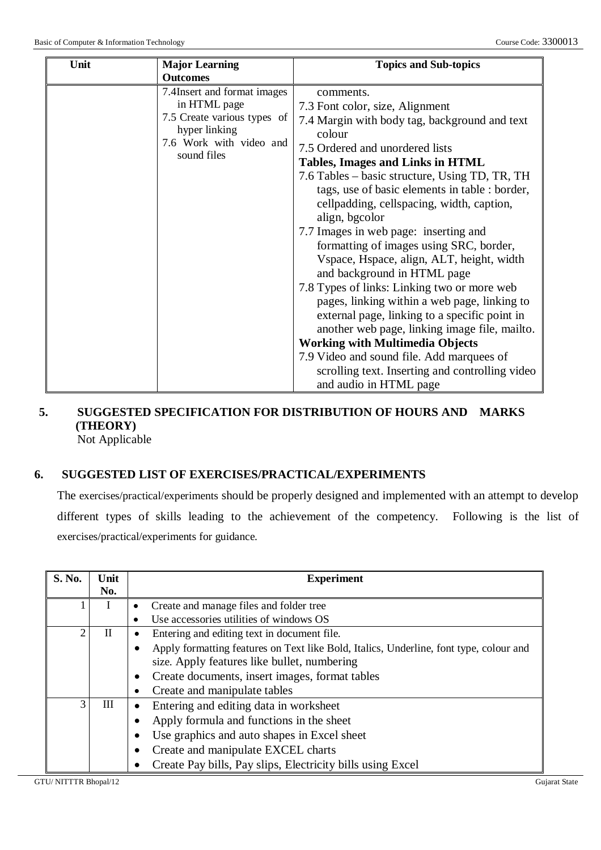| Unit |                             |                                                 |
|------|-----------------------------|-------------------------------------------------|
|      | <b>Major Learning</b>       | <b>Topics and Sub-topics</b>                    |
|      | <b>Outcomes</b>             |                                                 |
|      | 7.4Insert and format images | comments.                                       |
|      | in HTML page                | 7.3 Font color, size, Alignment                 |
|      | 7.5 Create various types of | 7.4 Margin with body tag, background and text   |
|      | hyper linking               | colour                                          |
|      | 7.6 Work with video and     | 7.5 Ordered and unordered lists                 |
|      | sound files                 | Tables, Images and Links in HTML                |
|      |                             |                                                 |
|      |                             | 7.6 Tables – basic structure, Using TD, TR, TH  |
|      |                             | tags, use of basic elements in table : border,  |
|      |                             | cellpadding, cellspacing, width, caption,       |
|      |                             | align, bgcolor                                  |
|      |                             | 7.7 Images in web page: inserting and           |
|      |                             | formatting of images using SRC, border,         |
|      |                             | Vspace, Hspace, align, ALT, height, width       |
|      |                             | and background in HTML page                     |
|      |                             | 7.8 Types of links: Linking two or more web     |
|      |                             | pages, linking within a web page, linking to    |
|      |                             | external page, linking to a specific point in   |
|      |                             | another web page, linking image file, mailto.   |
|      |                             | <b>Working with Multimedia Objects</b>          |
|      |                             |                                                 |
|      |                             | 7.9 Video and sound file. Add marquees of       |
|      |                             | scrolling text. Inserting and controlling video |
|      |                             | and audio in HTML page                          |

# **5. SUGGESTED SPECIFICATION FOR DISTRIBUTION OF HOURS AND MARKS (THEORY)**

Not Applicable

# **6. SUGGESTED LIST OF EXERCISES/PRACTICAL/EXPERIMENTS**

The exercises/practical/experiments should be properly designed and implemented with an attempt to develop different types of skills leading to the achievement of the competency. Following is the list of exercises/practical/experiments for guidance.

| S. No.         | Unit<br>No. | <b>Experiment</b>                                                                      |  |  |  |  |
|----------------|-------------|----------------------------------------------------------------------------------------|--|--|--|--|
|                |             | Create and manage files and folder tree                                                |  |  |  |  |
|                |             | Use accessories utilities of windows OS                                                |  |  |  |  |
| $\overline{2}$ | $\mathbf H$ | Entering and editing text in document file.                                            |  |  |  |  |
|                |             | Apply formatting features on Text like Bold, Italics, Underline, font type, colour and |  |  |  |  |
|                |             | size. Apply features like bullet, numbering                                            |  |  |  |  |
|                |             | Create documents, insert images, format tables<br>$\bullet$                            |  |  |  |  |
|                |             | Create and manipulate tables                                                           |  |  |  |  |
| $\mathcal{F}$  | Ш           | Entering and editing data in worksheet                                                 |  |  |  |  |
|                |             | Apply formula and functions in the sheet                                               |  |  |  |  |
|                |             | Use graphics and auto shapes in Excel sheet                                            |  |  |  |  |
|                |             | Create and manipulate EXCEL charts                                                     |  |  |  |  |
|                |             | Create Pay bills, Pay slips, Electricity bills using Excel                             |  |  |  |  |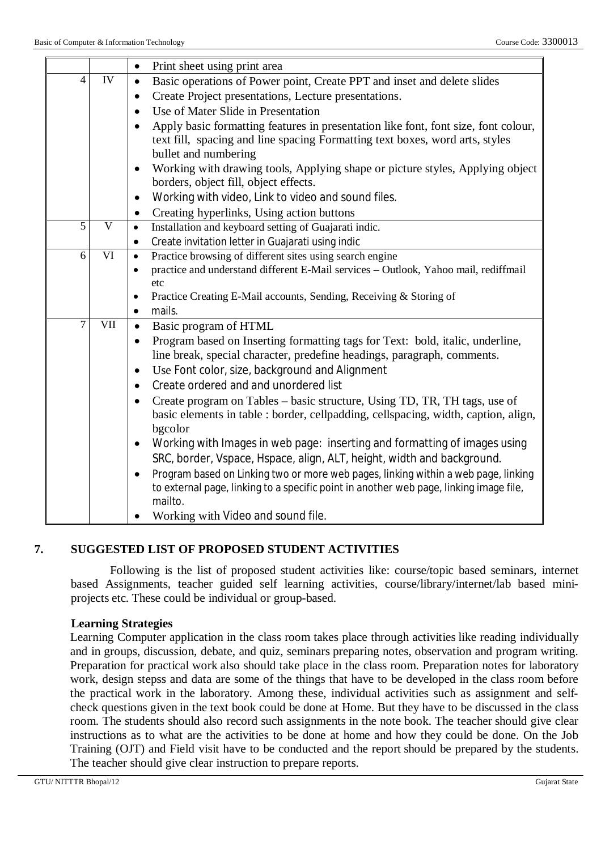|                |              | Print sheet using print area<br>$\bullet$                                                        |  |  |  |
|----------------|--------------|--------------------------------------------------------------------------------------------------|--|--|--|
| $\overline{4}$ | <b>IV</b>    | Basic operations of Power point, Create PPT and inset and delete slides<br>$\bullet$             |  |  |  |
|                |              | Create Project presentations, Lecture presentations.<br>$\bullet$                                |  |  |  |
|                |              | Use of Mater Slide in Presentation                                                               |  |  |  |
|                |              | Apply basic formatting features in presentation like font, font size, font colour,<br>$\bullet$  |  |  |  |
|                |              | text fill, spacing and line spacing Formatting text boxes, word arts, styles                     |  |  |  |
|                |              | bullet and numbering                                                                             |  |  |  |
|                |              | Working with drawing tools, Applying shape or picture styles, Applying object<br>$\bullet$       |  |  |  |
|                |              | borders, object fill, object effects.                                                            |  |  |  |
|                |              | Working with video, Link to video and sound files.<br>$\bullet$                                  |  |  |  |
|                |              | Creating hyperlinks, Using action buttons<br>$\bullet$                                           |  |  |  |
| 5              | $\mathbf{V}$ | Installation and keyboard setting of Guajarati indic.<br>$\bullet$                               |  |  |  |
|                |              | Create invitation letter in Guajarati using indic<br>٠                                           |  |  |  |
| 6              | VI           | Practice browsing of different sites using search engine<br>$\bullet$                            |  |  |  |
|                |              | practice and understand different E-Mail services - Outlook, Yahoo mail, rediffmail<br>$\bullet$ |  |  |  |
|                |              | etc<br>Practice Creating E-Mail accounts, Sending, Receiving & Storing of<br>$\bullet$           |  |  |  |
|                |              | mails.<br>$\bullet$                                                                              |  |  |  |
| $\overline{7}$ | VII          | Basic program of HTML<br>$\bullet$                                                               |  |  |  |
|                |              | Program based on Inserting formatting tags for Text: bold, italic, underline,<br>$\bullet$       |  |  |  |
|                |              | line break, special character, predefine headings, paragraph, comments.                          |  |  |  |
|                |              | Use Font color, size, background and Alignment<br>$\bullet$                                      |  |  |  |
|                |              | Create ordered and and unordered list<br>$\bullet$                                               |  |  |  |
|                |              | Create program on Tables – basic structure, Using TD, TR, TH tags, use of<br>$\bullet$           |  |  |  |
|                |              | basic elements in table : border, cellpadding, cellspacing, width, caption, align,               |  |  |  |
|                |              | bgcolor                                                                                          |  |  |  |
|                |              | Working with Images in web page: inserting and formatting of images using<br>$\bullet$           |  |  |  |
|                |              | SRC, border, Vspace, Hspace, align, ALT, height, width and background.                           |  |  |  |
|                |              | Program based on Linking two or more web pages, linking within a web page, linking               |  |  |  |
|                |              | to external page, linking to a specific point in another web page, linking image file,           |  |  |  |
|                |              | mailto.                                                                                          |  |  |  |
|                |              | Working with Video and sound file.                                                               |  |  |  |

#### **7. SUGGESTED LIST OF PROPOSED STUDENT ACTIVITIES**

Following is the list of proposed student activities like: course/topic based seminars, internet based Assignments, teacher guided self learning activities, course/library/internet/lab based miniprojects etc. These could be individual or group-based.

#### **Learning Strategies**

Learning Computer application in the class room takes place through activities like reading individually and in groups, discussion, debate, and quiz, seminars preparing notes, observation and program writing. Preparation for practical work also should take place in the class room. Preparation notes for laboratory work, design stepss and data are some of the things that have to be developed in the class room before the practical work in the laboratory. Among these, individual activities such as assignment and selfcheck questions given in the text book could be done at Home. But they have to be discussed in the class room. The students should also record such assignments in the note book. The teacher should give clear instructions as to what are the activities to be done at home and how they could be done. On the Job Training (OJT) and Field visit have to be conducted and the report should be prepared by the students. The teacher should give clear instruction to prepare reports.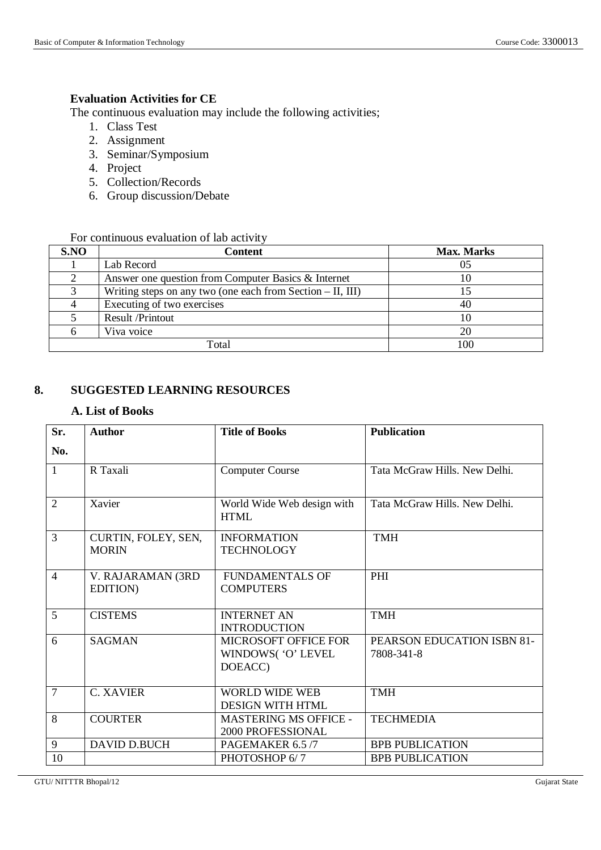#### **Evaluation Activities for CE**

The continuous evaluation may include the following activities;

- 1. Class Test
- 2. Assignment
- 3. Seminar/Symposium
- 4. Project
- 5. Collection/Records
- 6. Group discussion/Debate

#### For continuous evaluation of lab activity

| S.NO | Content                                                      | <b>Max. Marks</b> |
|------|--------------------------------------------------------------|-------------------|
|      | Lab Record                                                   |                   |
|      | Answer one question from Computer Basics & Internet          |                   |
|      | Writing steps on any two (one each from Section $-$ II, III) |                   |
|      | Executing of two exercises                                   | 40                |
|      | Result /Printout                                             |                   |
|      | Viva voice                                                   |                   |
|      | Total                                                        |                   |

#### **8. SUGGESTED LEARNING RESOURCES**

#### **A. List of Books**

| Sr.            | <b>Author</b>                         | <b>Title of Books</b>                                        | <b>Publication</b>                       |
|----------------|---------------------------------------|--------------------------------------------------------------|------------------------------------------|
| No.            |                                       |                                                              |                                          |
| $\mathbf{1}$   | R Taxali                              | <b>Computer Course</b>                                       | Tata McGraw Hills, New Delhi.            |
| $\overline{2}$ | Xavier                                | World Wide Web design with<br><b>HTML</b>                    | Tata McGraw Hills. New Delhi.            |
| $\overline{3}$ | CURTIN, FOLEY, SEN,<br><b>MORIN</b>   | <b>INFORMATION</b><br><b>TECHNOLOGY</b>                      | <b>TMH</b>                               |
| $\overline{4}$ | V. RAJARAMAN (3RD<br><b>EDITION</b> ) | <b>FUNDAMENTALS OF</b><br><b>COMPUTERS</b>                   | PHI                                      |
| 5              | <b>CISTEMS</b>                        | <b>INTERNET AN</b><br><b>INTRODUCTION</b>                    | <b>TMH</b>                               |
| 6              | <b>SAGMAN</b>                         | <b>MICROSOFT OFFICE FOR</b><br>WINDOWS( 'O' LEVEL<br>DOEACC) | PEARSON EDUCATION ISBN 81-<br>7808-341-8 |
| $\overline{7}$ | <b>C. XAVIER</b>                      | WORLD WIDE WEB<br><b>DESIGN WITH HTML</b>                    | <b>TMH</b>                               |
| 8              | <b>COURTER</b>                        | <b>MASTERING MS OFFICE -</b><br>2000 PROFESSIONAL            | <b>TECHMEDIA</b>                         |
| 9              | <b>DAVID D.BUCH</b>                   | PAGEMAKER 6.5/7                                              | <b>BPB PUBLICATION</b>                   |
| 10             |                                       | PHOTOSHOP 6/7                                                | <b>BPB PUBLICATION</b>                   |